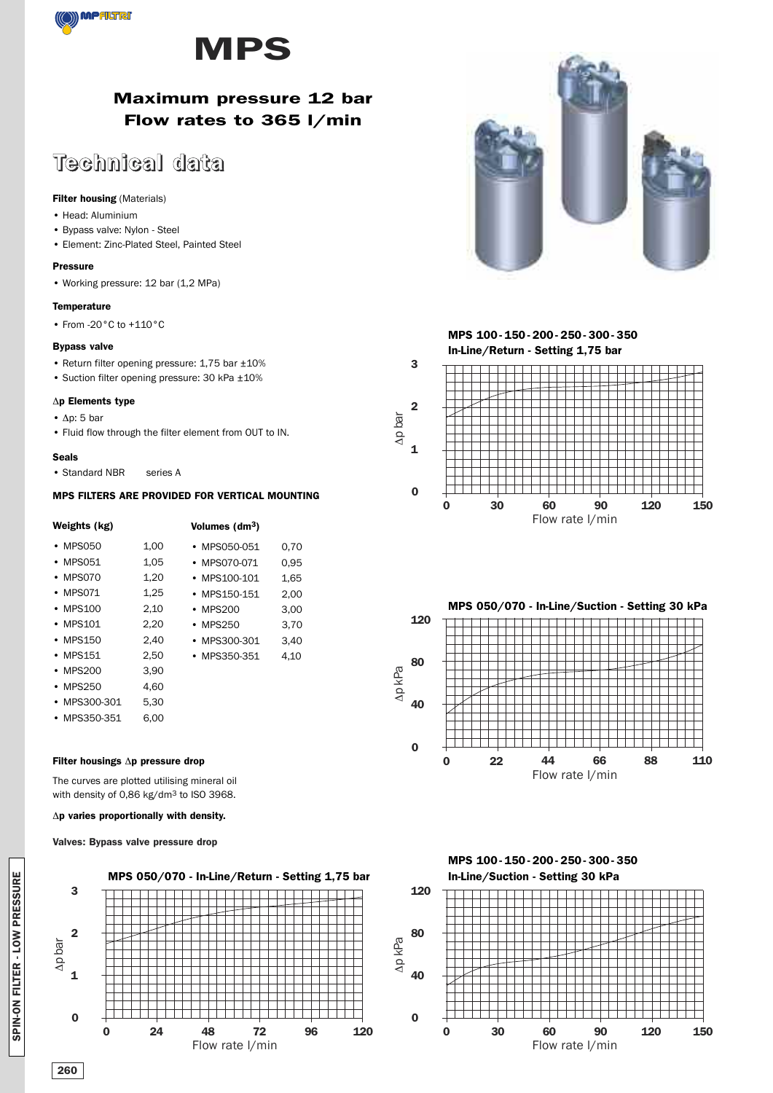



## **Maximum pressure 12 bar Flow rates to 365 l/min**

# **Technical data**

### **Filter housing** (Materials)

- Head: Aluminium
- Bypass valve: Nylon Steel
- Element: Zinc-Plated Steel, Painted Steel

### **Pressure**

• Working pressure: 12 bar (1,2 MPa)

### **Temperature**

• From -20°C to +110°C

### **Bypass valve**

- Return filter opening pressure: 1,75 bar ±10%
- Suction filter opening pressure: 30 kPa ±10%

### Δ**p Elements type**

- Δp: 5 bar
- Fluid flow through the filter element from OUT to IN.

### **Seals**

• Standard NBR series A

### **MPS FILTERS ARE PROVIDED FOR VERTICAL MOUNTING**

| Weights (kg)   |      | Volumes (dm <sup>3</sup> ) |      |
|----------------|------|----------------------------|------|
| • MPS050       | 1,00 | • MPS050-051               | 0.70 |
| $\cdot$ MPS051 | 1,05 | • MPS070-071               | 0.95 |
| • MPS070       | 1,20 | • MPS100-101               | 1,65 |
| $\cdot$ MPS071 | 1,25 | • MPS150-151               | 2,00 |
| $\cdot$ MPS100 | 2,10 | • MPS200                   | 3.00 |
| • MPS101       | 2,20 | $\cdot$ MPS250             | 3,70 |
| • MPS150       | 2,40 | MPS300-301                 | 3.40 |
| • MPS151       | 2,50 | • MPS350-351               | 4,10 |
| • MPS200       | 3,90 |                            |      |
| $\cdot$ MPS250 | 4.60 |                            |      |
| • MPS300-301   | 5.30 |                            |      |
| • MPS350-351   | 6.00 |                            |      |

### **Filter housings** Δ**p pressure drop**

The curves are plotted utilising mineral oil with density of 0,86 kg/dm3 to ISO 3968.

### Δ**p varies proportionally with density.**

### **Valves: Bypass valve pressure drop**













**120**

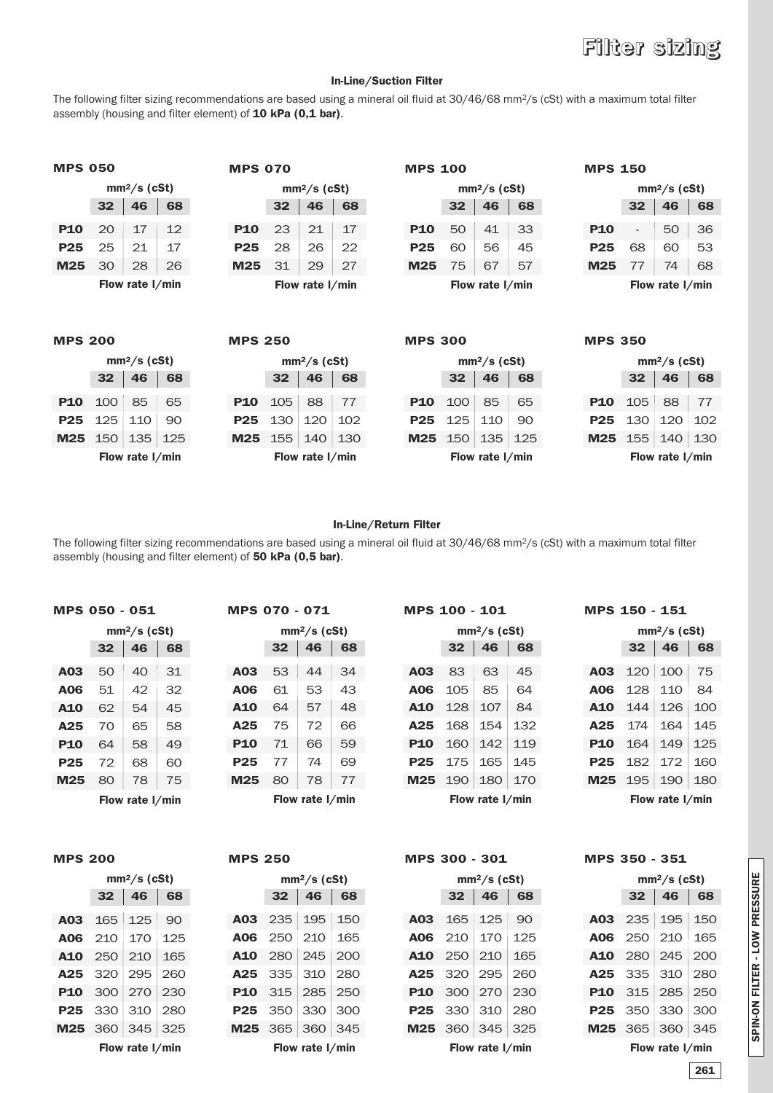# **Filter sizing**

### **In-Line/Suction Filter**

The following filter sizing recommendations are based using a mineral oil fluid at 30/46/68 mm2/s (cSt) with a maximum total filter assembly (housing and filter element) of **10 kPa (0,1 bar)**.

| MPS 050    |    |                 |    |  |  |  |
|------------|----|-----------------|----|--|--|--|
|            |    | $mm2/s$ (cSt)   |    |  |  |  |
|            | 32 | 46              | 68 |  |  |  |
| <b>P10</b> | 20 | 17              | 12 |  |  |  |
| <b>P25</b> | 25 | 21              | 17 |  |  |  |
| M25        | 30 | 28              | 26 |  |  |  |
|            |    | Flow rate I/min |    |  |  |  |

| 0              |                |    | <b>MPS 070</b> |    |                 |    | <b>MPS 100</b> |    |                 |    | <b>MPS 150</b>  |                          |               |            |
|----------------|----------------|----|----------------|----|-----------------|----|----------------|----|-----------------|----|-----------------|--------------------------|---------------|------------|
|                | $mm^2/s$ (cSt) |    |                |    | $mm2/s$ (cSt)   |    |                |    | $mm2/s$ (cSt)   |    |                 |                          | $mm2/s$ (cSt) |            |
| $\overline{2}$ | 46             | 68 |                | 32 | 46              | 68 |                | 32 | 46              | 68 |                 | 32                       | 46            | $\epsilon$ |
| O              | 17             | 12 | <b>P10</b>     | 23 | 21              | 17 | <b>P10</b>     | 50 | 41              | 33 | <b>P10</b>      | $\overline{\phantom{a}}$ | 50            | 3          |
| 5              | 21             | 17 | <b>P25</b>     | 28 | 26              | 22 | <b>P25</b>     | 60 | 56              | 45 | <b>P25</b>      | 68                       | 60            | 5          |
| O              | 28             | 26 | M25            | 31 | 29              | 27 | M25            | 75 | 67              | 57 | M <sub>25</sub> | 77                       | 74            | $\epsilon$ |
|                | low rate I/min |    |                |    | Flow rate I/min |    |                |    | Flow rate I/min |    |                 |                          | Flow rate I/m |            |

| <b>MPS 100</b> |  |
|----------------|--|
|                |  |

|            | $mm2/s$ (cSt)   |                 |    |  |  |  |  |
|------------|-----------------|-----------------|----|--|--|--|--|
|            | 32 <sub>2</sub> | 68              |    |  |  |  |  |
| <b>P10</b> | 50              | 41              | 33 |  |  |  |  |
| P25        | 60              | 56              | 45 |  |  |  |  |
| M25        | 75              | 67              | 57 |  |  |  |  |
|            |                 | Flow rate I/min |    |  |  |  |  |

### **MPS 150**

|            | $mm2/s$ (cSt)  |                  |    |  |  |  |  |  |  |
|------------|----------------|------------------|----|--|--|--|--|--|--|
|            | 46<br>68<br>32 |                  |    |  |  |  |  |  |  |
| <b>P10</b> |                | 50               | 36 |  |  |  |  |  |  |
| P25        | 68             | 60               | 53 |  |  |  |  |  |  |
| M25        | 77             | 74               | 68 |  |  |  |  |  |  |
|            |                | Flow rate I /min |    |  |  |  |  |  |  |

**Flow rate l/min**

| <b>MPS 200</b> |                 |                 |     | <b>MPS 250</b> |     |                 |     | <b>MPS 300</b> |     |                 |     | <b>MPS 350</b> |                 |                 |     |
|----------------|-----------------|-----------------|-----|----------------|-----|-----------------|-----|----------------|-----|-----------------|-----|----------------|-----------------|-----------------|-----|
|                |                 | $mm2/s$ (cSt)   |     |                |     | $mm2/s$ (cSt)   |     |                |     | $mm2/s$ (cSt)   |     |                |                 | $mm2/s$ (cSt)   |     |
|                | 32 <sub>2</sub> | 46              | 68  |                | 32  | 46              | 68  |                | 32  | 46              | 68  |                | 32 <sub>2</sub> | 46              | 68  |
| <b>P10</b>     | 100             | 85              | 65  | <b>P10</b>     | 105 | 88              | 77  | <b>P10</b>     | 100 | 85              | 65  | <b>P10</b>     | 105             | 88              | -77 |
| <b>P25</b>     | 125             | 110             | 90  | <b>P25</b>     | 130 | 120             | 102 | <b>P25</b>     | 125 | 110             | 90  | <b>P25</b>     | 130             | 120             | 102 |
| M25            | 150             | 135             | 125 | M25            | 155 | 140             | 130 | M25            | 150 | 135             | 125 | M25            | 155             | 140             | 130 |
|                |                 | Flow rate I/min |     |                |     | Flow rate I/min |     |                |     | Flow rate I/min |     |                |                 | Flow rate I/min |     |
|                |                 |                 |     |                |     |                 |     |                |     |                 |     |                |                 |                 |     |

### **In-Line/Return Filter**

The following filter sizing recommendations are based using a mineral oil fluid at 30/46/68 mm2/s (cSt) with a maximum total filter assembly (housing and filter element) of **50 kPa (0,5 bar)**.

### **MPS 050 - 051**

|            | $mm2/s$ (cSt) |                 |    |  |  |  |  |  |
|------------|---------------|-----------------|----|--|--|--|--|--|
|            | 32            | 46              | 68 |  |  |  |  |  |
| A03        | 50            | 40              | 31 |  |  |  |  |  |
| A06        | 51            | 42              | 32 |  |  |  |  |  |
| A10        | 62            | 54              | 45 |  |  |  |  |  |
| A25        | 70            | 65              | 58 |  |  |  |  |  |
| <b>P10</b> | 64            | 58              | 49 |  |  |  |  |  |
| P25        | 72            | 68              | 60 |  |  |  |  |  |
| M25        | 80            | 78              | 75 |  |  |  |  |  |
|            |               | Flow rate I/min |    |  |  |  |  |  |

**MPS 070 - 071**

|            | $mm^2/s$ (cSt) |                 |    |  |  |  |  |  |
|------------|----------------|-----------------|----|--|--|--|--|--|
|            | 32             | 46              | 68 |  |  |  |  |  |
| A03        | 53             | 44              | 34 |  |  |  |  |  |
| <b>A06</b> | 61             | 53              | 43 |  |  |  |  |  |
| <b>A10</b> | 64             | 57              | 48 |  |  |  |  |  |
| A25        | 75             | 72              | 66 |  |  |  |  |  |
| <b>P10</b> | 71             | 66              | 59 |  |  |  |  |  |
| P25        | 77             | 74              | 69 |  |  |  |  |  |
| M25        | 80             | 78              | 77 |  |  |  |  |  |
|            |                | Flow rate I/min |    |  |  |  |  |  |

**MPS 100 - 101**

|            | mm²/s (cSt) |                 |     |  |  |  |  |  |  |
|------------|-------------|-----------------|-----|--|--|--|--|--|--|
|            | 32          | 46              | 68  |  |  |  |  |  |  |
| A03        | 83          | 63              | 45  |  |  |  |  |  |  |
| <b>A06</b> | 105         | 85              | 64  |  |  |  |  |  |  |
| <b>A10</b> | 128         | 107             | 84  |  |  |  |  |  |  |
| A25        | 168         | 154             | 132 |  |  |  |  |  |  |
| P10        | 160         | 142             | 119 |  |  |  |  |  |  |
| P25        | 175         | 165             | 145 |  |  |  |  |  |  |
| M25        | 190         | 180             | 170 |  |  |  |  |  |  |
|            |             | Flow rate I/min |     |  |  |  |  |  |  |

**MPS 150 - 151**

|            | $mm2/s$ (cSt) |                 |      |  |  |  |  |  |  |
|------------|---------------|-----------------|------|--|--|--|--|--|--|
|            | 32            | 46              | 68   |  |  |  |  |  |  |
| A03        | 120           | 100             | 75   |  |  |  |  |  |  |
| <b>A06</b> | 128           | 110             | 84   |  |  |  |  |  |  |
| <b>A10</b> | 144           | 126             | 100  |  |  |  |  |  |  |
| A25        | 174           | 164             | 1.45 |  |  |  |  |  |  |
| <b>P10</b> | 164           | 149             | 125  |  |  |  |  |  |  |
| P25        | 182           | 172             | 160  |  |  |  |  |  |  |
| M25        | 195           | 190             | 180  |  |  |  |  |  |  |
|            |               | Flow rate I/min |      |  |  |  |  |  |  |

|                 | $mm2/s$ (cSt) |                 |     |  |  |  |  |
|-----------------|---------------|-----------------|-----|--|--|--|--|
|                 | 32            | 46              | 68  |  |  |  |  |
| A03             | 165           | 125             | 90  |  |  |  |  |
| A06             | 210           | 170             | 125 |  |  |  |  |
| <b>A10</b>      | 250           | 210             | 165 |  |  |  |  |
| A <sub>25</sub> | 320           | 295             | 260 |  |  |  |  |
| <b>P10</b>      | 300           | 270             | 230 |  |  |  |  |
| P25             | 330           | 310             | 280 |  |  |  |  |
| M25             | 360           | 345             | 325 |  |  |  |  |
|                 |               | Flow rate I/min |     |  |  |  |  |

|                 | mm <sup>2</sup> /s (cSt) |     |     |  |  |
|-----------------|--------------------------|-----|-----|--|--|
|                 | 32                       | 46  | 68  |  |  |
| A03             | 235                      | 195 | 150 |  |  |
| <b>A06</b>      | 250                      | 210 | 165 |  |  |
| <b>A10</b>      | 280                      | 245 | 200 |  |  |
| A25             | 335                      | 310 | 280 |  |  |
| <b>P10</b>      | 315                      | 285 | 250 |  |  |
| P25             | 350                      | 330 | 300 |  |  |
| M25             | 365                      | 360 | 345 |  |  |
| Flow rate I/min |                          |     |     |  |  |

### **MPS 200 MPS 250 MPS 300 - 301 MPS 350 - 351**

|                         | $mm^2/s$ (cSt) |     |            |         | $mm2/s$ (cSt)   |     |            |           | $mm2/s$ (cSt)   |     |            |                 | $mm2/s$ (cSt)   |                |
|-------------------------|----------------|-----|------------|---------|-----------------|-----|------------|-----------|-----------------|-----|------------|-----------------|-----------------|----------------|
| $\overline{\mathbf{2}}$ | 46             | 68  |            | 32      | 46              | 68  |            | 32        | 46              | 68  |            | 32 <sub>2</sub> | 46              | $\epsilon$     |
| 35 I                    | 125            | 90  |            | A03 235 | 195             | 150 | A03        | 165       | 125             | 90  | A03        |                 | 235   195   1!  |                |
| LO                      | 170            | 125 | <b>A06</b> | 250     | 210             | 165 | A06        | 210       | 170             | 125 | <b>A06</b> | 250             | 210             | $\mathbf{1}$   |
| 5O I                    | 210            | 165 | <b>A10</b> | -280    | 245             | 200 | A10        | 250       | 210             | 165 | <b>A10</b> | 280             | 245             | $\overline{2}$ |
| 2O I                    | 295            | 260 |            | A25 335 | 310             | 280 |            | $A25$ 320 | 295             | 260 |            | A25 335         | 310 28          |                |
| 1 OC                    | 270            | 230 | <b>P10</b> | 315     | 285             | 250 | <b>P10</b> | 300       | 270             | 230 |            | <b>P10</b> 315  | 285 2!          |                |
|                         | 30   310       | 280 | <b>P25</b> | 350     | 330             | 300 | <b>P25</b> | 330       | 310             | 280 |            | <b>P25</b> 350  | 330 30          |                |
|                         | 30   345       | 325 | $M25$ 365  |         | 360             | 345 | M25 360    |           | 345             | 325 | M25 365    |                 | 360 34          |                |
|                         | low rate I/min |     |            |         | Flow rate I/min |     |            |           | Flow rate I/min |     |            |                 | Flow rate $1/m$ |                |

|  | Flow rate I/min                 |  |
|--|---------------------------------|--|
|  | <b>M25</b> 195 190 180          |  |
|  | <b>P25</b> $182   172   160$    |  |
|  | <b>P10</b> 164 149 12           |  |
|  | <b>A25</b> $1/4$   $164$   $14$ |  |

|            | $mm2/s$ (cSt)   |     |     |  |  |
|------------|-----------------|-----|-----|--|--|
|            | 32              | 46  | 68  |  |  |
| A03        | 235             | 195 | 150 |  |  |
| AN6        | 250             | 210 | 165 |  |  |
| A10        | 280             | 245 | 200 |  |  |
| A25        | 335             | 310 | 280 |  |  |
| <b>P10</b> | 315             | 285 | 250 |  |  |
| P25        | 350             | 330 | 300 |  |  |
| M25        | 365             | 360 | 345 |  |  |
|            | Flow rate I/min |     |     |  |  |
|            |                 |     |     |  |  |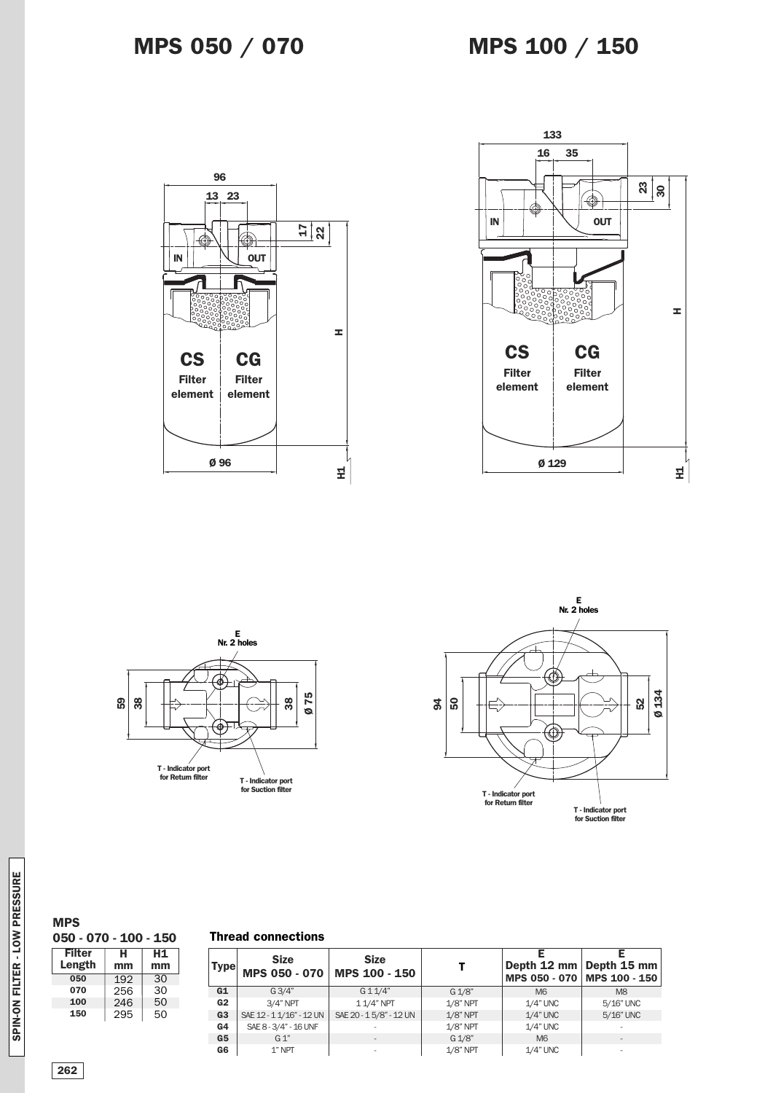## **MPS 050 / 070**









**MPS**

**Filter Length H mm 050 - 070 - 100 - 150 H1 mm 050 070 100 150** 30 30 50 50 192 256 246 295

### **Thread connections**

| <b>Type</b>    | <b>Size</b><br><b>MPS 050 - 070</b> | <b>Size</b><br>MPS 100 - 150 |             | Depth 12 mm   Depth 15 mm<br>MPS 050 - 070 MPS 100 - 150 |                          |
|----------------|-------------------------------------|------------------------------|-------------|----------------------------------------------------------|--------------------------|
| G1             | G3/4"                               | G11/4"                       | G 1/8"      | M <sub>6</sub>                                           | M <sub>8</sub>           |
| G2             | $3/4"$ NPT                          | 1 1/4" NPT                   | $1/8$ " NPT | $1/4$ " UNC                                              | 5/16" UNC                |
| G <sub>3</sub> | SAE 12 - 1 1/16" - 12 UN            | SAE 20 - 15/8" - 12 UN       | $1/8$ " NPT | $1/4$ " UNC                                              | 5/16" UNC                |
| G4             | SAE 8 - 3/4" - 16 UNF               |                              | $1/8$ " NPT | $1/4$ " UNC                                              | $\overline{\phantom{a}}$ |
| G5             | $G_1$ "                             | $\overline{a}$               | G 1/8"      | M <sub>6</sub>                                           | ۰                        |
| G6             | $1$ " NPT                           |                              | 1/8" NPT    | $1/4"$ UNC                                               | ۰                        |
|                |                                     |                              |             |                                                          |                          |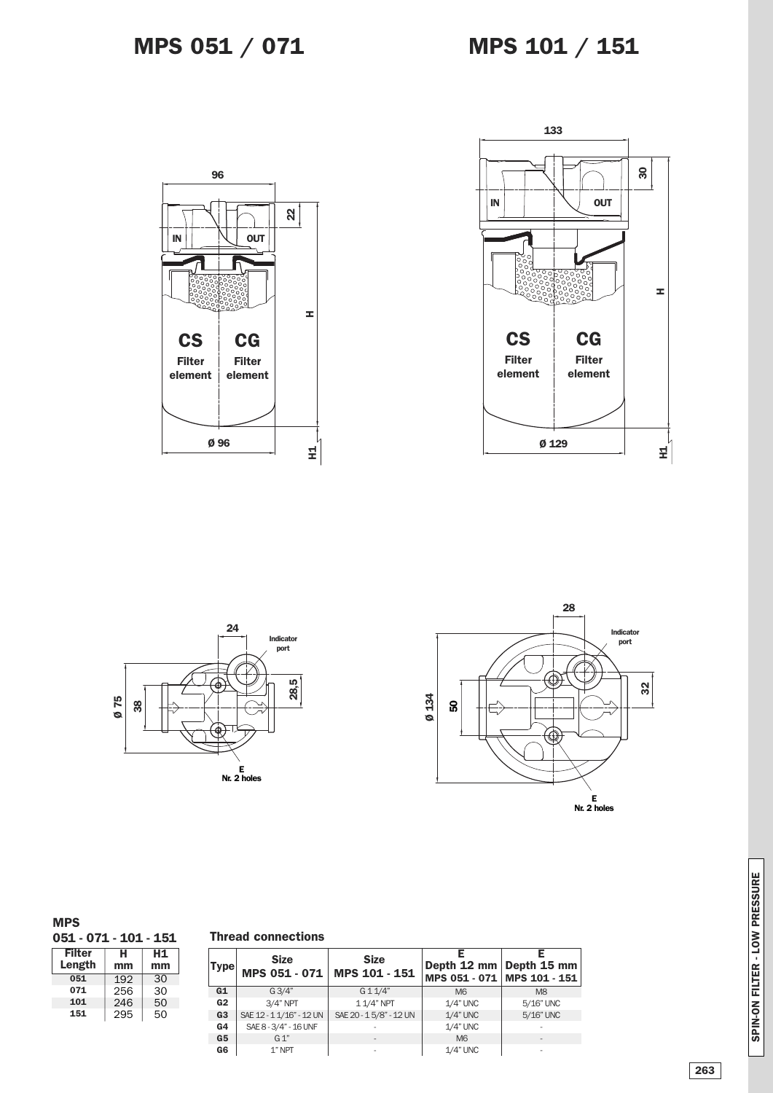







### **MPS**

**051 - 071 - 101 - 151**

| <b>Filter</b> | н   | H1 |
|---------------|-----|----|
| Length        | mm  | mm |
| 051           | 192 | 30 |
| 071           | 256 | 30 |
| 101           | 246 | 50 |
| 151           | 295 | 50 |

|  | <b>Thread connections</b> |
|--|---------------------------|
|--|---------------------------|

| Type           | <b>Size</b><br>MPS 051 - 071 | <b>Size</b><br>MPS 101 - 151 | Depth 12 mm   Depth 15 mm<br>MPS 051 - 071 MPS 101 - 151 |                          |
|----------------|------------------------------|------------------------------|----------------------------------------------------------|--------------------------|
| G1             | G3/4"                        | $G$ 1 1/4"                   | M <sub>6</sub>                                           | M <sub>8</sub>           |
| G2             | $3/4"$ NPT                   | 11/4" NPT                    | $1/4$ " UNC                                              | 5/16" UNC                |
| G <sub>3</sub> | SAE 12 - 1 1/16" - 12 UN     | SAE 20 - 15/8" - 12 UN       | $1/4$ " UNC                                              | 5/16" UNC                |
| G <sub>4</sub> | SAE 8 - 3/4" - 16 UNF        |                              | $1/4$ " UNC                                              |                          |
| G <sub>5</sub> | G 1"                         |                              | M <sub>6</sub>                                           | $\overline{\phantom{a}}$ |
| G6             | 1" NPT                       |                              | $1/4$ " UNC                                              |                          |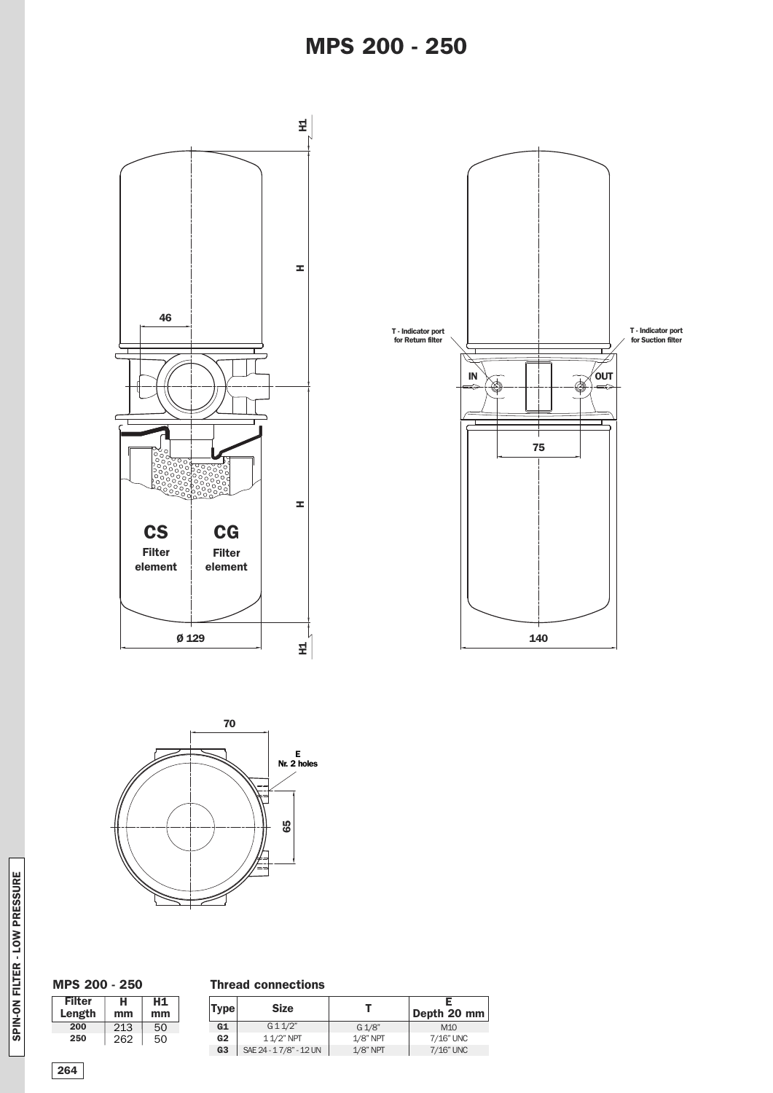



### **MPS 200 - 250**

| Filter<br>Length | н<br>mm | Н1<br>mm |
|------------------|---------|----------|
| 200              | 213     | 50       |
| 250              | 262     | 50       |

### **Thread connections**

| <b>Type</b>    | <b>Size</b>            |             | Depth 20 mm     |
|----------------|------------------------|-------------|-----------------|
| G1             | G11/2"                 | G 1/8"      | M <sub>10</sub> |
| G2             | $11/2"$ NPT            | $1/8$ " NPT | 7/16" UNC       |
| G <sub>3</sub> | SAE 24 - 17/8" - 12 UN | $1/8$ " NPT | 7/16" UNC       |

**S**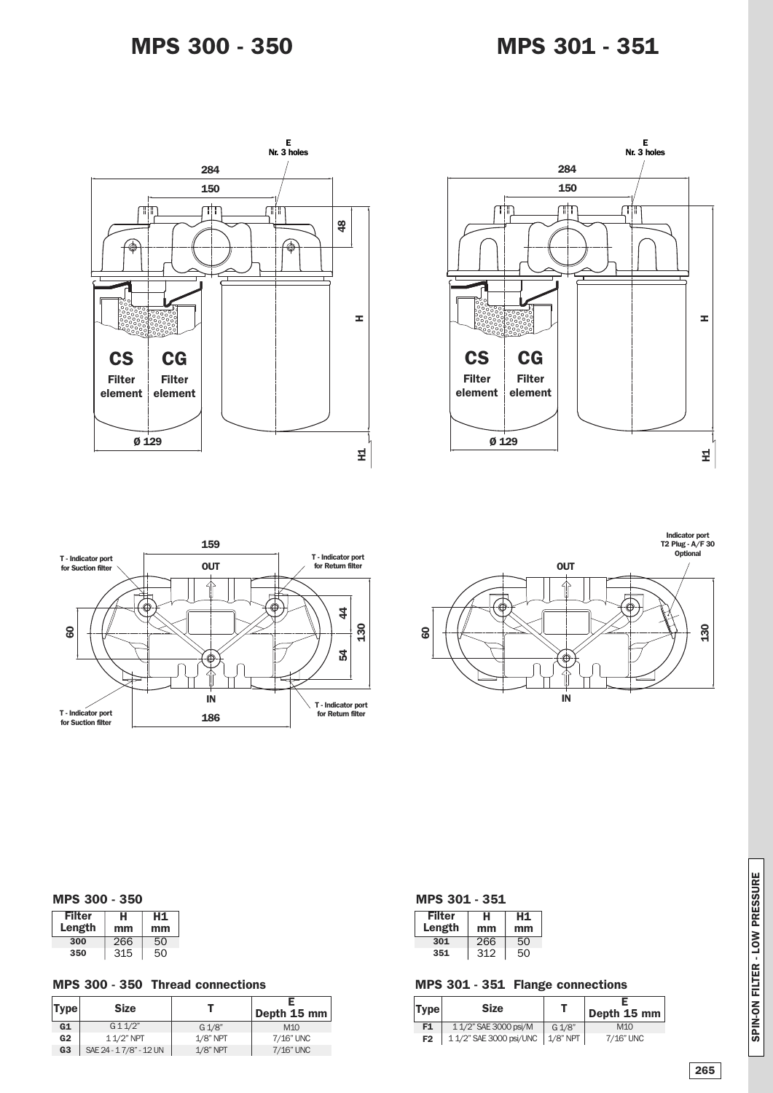







### **MPS 300 - 350**

| <b>Filter</b><br>Length | н<br>mm | н1<br>mm |
|-------------------------|---------|----------|
| 300                     | 266     | 50       |
| 350                     | 315     | 50       |

### **MPS 300 - 350 Thread connections**

| <b>Type</b>    | <b>Size</b>            |             | Depth 15 mm     |
|----------------|------------------------|-------------|-----------------|
| G1             | G11/2"                 | G 1/8"      | M <sub>10</sub> |
| G <sub>2</sub> | $11/2$ " NPT           | $1/8$ " NPT | 7/16" UNC       |
| G <sub>3</sub> | SAE 24 - 17/8" - 12 UN | $1/8$ " NPT | 7/16" UNC       |

| <b>MPS 301 -</b> | $\sim$ |  |
|------------------|--------|--|
| ۹r               |        |  |

| Filter<br>Length | н<br>mm | Н1<br>mm |
|------------------|---------|----------|
| 301              | 266     | 50       |
| 351              | 312     | 50       |

### **MPS 301 - 351 Flange connections**

| Type           | <b>Size</b>                        |        | Depth 15 mm |
|----------------|------------------------------------|--------|-------------|
| F <sub>1</sub> | 1 1/2" SAE 3000 psi/M              | G 1/8" | M1O         |
| F <sub>2</sub> | 1 1/2" SAE 3000 psi/UNC   1/8" NPT |        | 7/16" UNC   |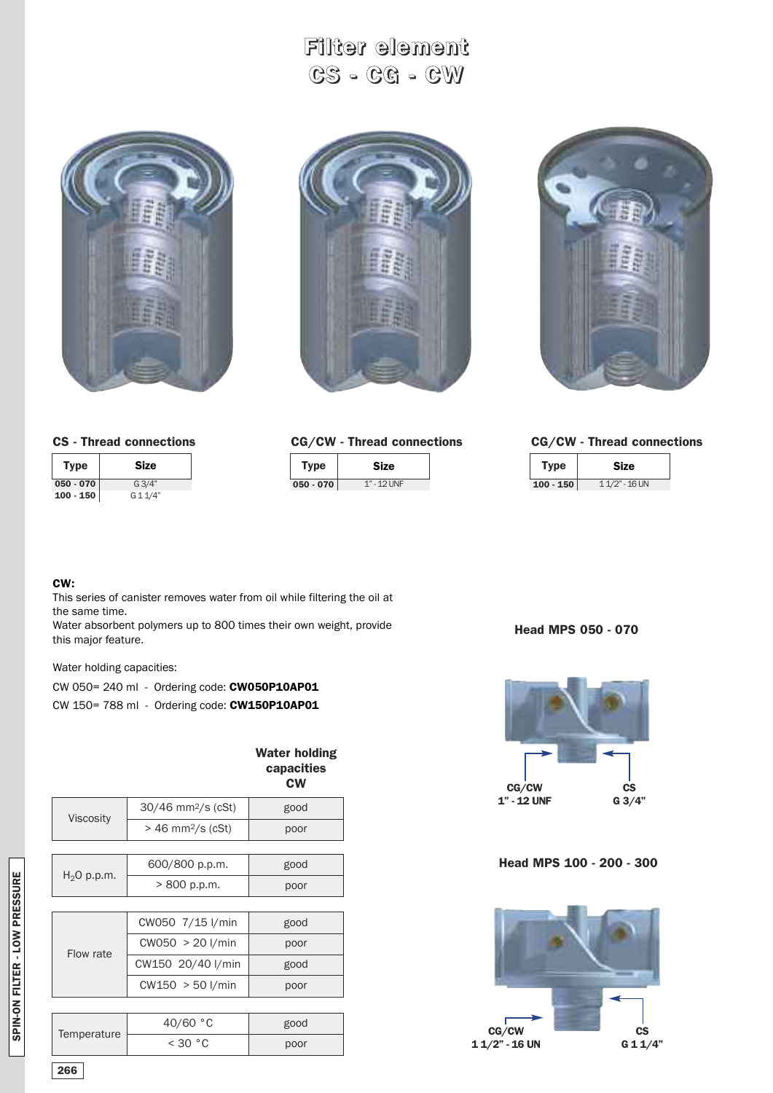**Filter element CS - CG - CW**

![](_page_6_Picture_1.jpeg)

![](_page_6_Picture_2.jpeg)

![](_page_6_Picture_3.jpeg)

|  |  |  |  |  |  | <b>CG/CW - Thread connections</b> |
|--|--|--|--|--|--|-----------------------------------|
|--|--|--|--|--|--|-----------------------------------|

| Tvpe        | <b>Size</b>      |
|-------------|------------------|
| $100 - 150$ | $11/2$ " - 16 UN |

### **CS - Thread connections**

| <b>Type</b> | <b>Size</b> |
|-------------|-------------|
| $050 - 070$ | G3/4"       |
| $100 - 150$ | G 1 1/4"    |

### **CG/CW - Thread connections**

| Type        | Size          |
|-------------|---------------|
| $050 - 070$ | $1" - 12$ UNF |

### **CW:**

This series of canister removes water from oil while filtering the oil at the same time.

Water absorbent polymers up to 800 times their own weight, provide this major feature.

Water holding capacities:

| CW 050= 240 ml - Ordering code: CW050P10AP01 |  |
|----------------------------------------------|--|
| CW 150= 788 ml - Ordering code: CW150P10AP01 |  |

|               |                                 | capacities<br><b>CW</b> | CG/CW                    | $\mathbf{c}\mathbf{s}$ |
|---------------|---------------------------------|-------------------------|--------------------------|------------------------|
|               | 30/46 mm <sup>2</sup> /s (cSt)  | good                    | 1" - 12 UNF              | G 3/4"                 |
| Viscosity     | $> 46$ mm <sup>2</sup> /s (cSt) | poor                    |                          |                        |
|               | 600/800 p.p.m.                  | good                    | Head MPS 100 - 200 - 300 |                        |
| $H_2O$ p.p.m. | > 800 p.p.m.                    | poor                    |                          |                        |
|               |                                 |                         |                          |                        |
|               | CW050 7/15 l/min                | good                    |                          |                        |
| Flow rate     | CW050 > 20 I/min                | poor                    |                          |                        |
|               | CW150 20/40 l/min               | good                    |                          |                        |
|               | CW150 > 50 l/min                | poor                    |                          |                        |
|               |                                 |                         |                          |                        |
| Temperature   | 40/60 °C                        | good                    | CG/CW                    | $\mathbf{c}\mathbf{s}$ |
|               | < 30 °C                         | poor                    | $11/2" - 16 UN$          | G 11/4"                |

## **Water holding capacities**

**Head MPS 050 - 070**

![](_page_6_Picture_18.jpeg)

### **Head MPS 100 - 200 - 300**

![](_page_6_Picture_20.jpeg)